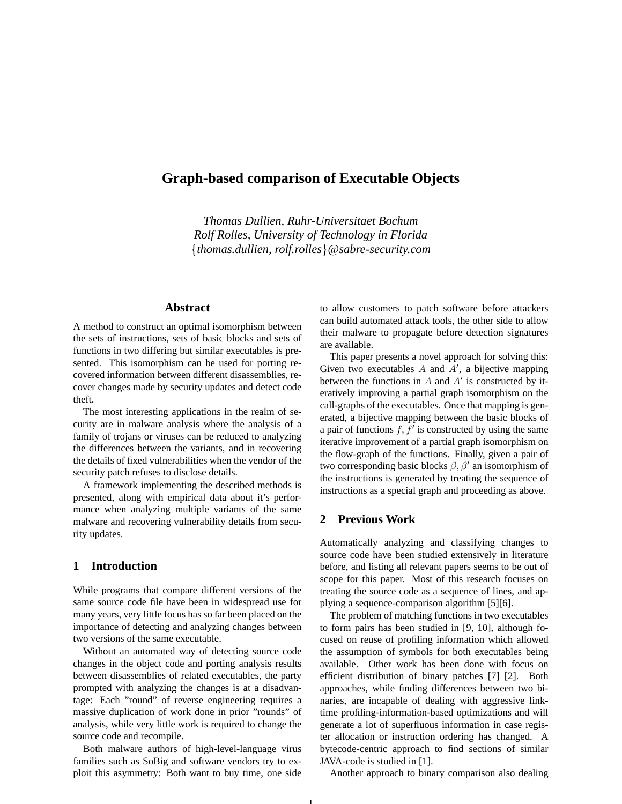# **Graph-based comparison of Executable Objects**

*Thomas Dullien, Ruhr-Universitaet Bochum Rolf Rolles, University of Technology in Florida* {*thomas.dullien, rolf.rolles*}*@sabre-security.com*

## **Abstract**

A method to construct an optimal isomorphism between the sets of instructions, sets of basic blocks and sets of functions in two differing but similar executables is presented. This isomorphism can be used for porting recovered information between different disassemblies, recover changes made by security updates and detect code theft.

The most interesting applications in the realm of security are in malware analysis where the analysis of a family of trojans or viruses can be reduced to analyzing the differences between the variants, and in recovering the details of fixed vulnerabilities when the vendor of the security patch refuses to disclose details.

A framework implementing the described methods is presented, along with empirical data about it's performance when analyzing multiple variants of the same malware and recovering vulnerability details from security updates.

## **1 Introduction**

While programs that compare different versions of the same source code file have been in widespread use for many years, very little focus has so far been placed on the importance of detecting and analyzing changes between two versions of the same executable.

Without an automated way of detecting source code changes in the object code and porting analysis results between disassemblies of related executables, the party prompted with analyzing the changes is at a disadvantage: Each "round" of reverse engineering requires a massive duplication of work done in prior "rounds" of analysis, while very little work is required to change the source code and recompile.

Both malware authors of high-level-language virus families such as SoBig and software vendors try to exploit this asymmetry: Both want to buy time, one side to allow customers to patch software before attackers can build automated attack tools, the other side to allow their malware to propagate before detection signatures are available.

This paper presents a novel approach for solving this: Given two executables  $A$  and  $A'$ , a bijective mapping between the functions in  $A$  and  $A'$  is constructed by iteratively improving a partial graph isomorphism on the call-graphs of the executables. Once that mapping is generated, a bijective mapping between the basic blocks of a pair of functions  $f, f'$  is constructed by using the same iterative improvement of a partial graph isomorphism on the flow-graph of the functions. Finally, given a pair of two corresponding basic blocks  $\beta$ ,  $\beta'$  an isomorphism of the instructions is generated by treating the sequence of instructions as a special graph and proceeding as above.

## **2 Previous Work**

Automatically analyzing and classifying changes to source code have been studied extensively in literature before, and listing all relevant papers seems to be out of scope for this paper. Most of this research focuses on treating the source code as a sequence of lines, and applying a sequence-comparison algorithm [5][6].

The problem of matching functions in two executables to form pairs has been studied in [9, 10], although focused on reuse of profiling information which allowed the assumption of symbols for both executables being available. Other work has been done with focus on efficient distribution of binary patches [7] [2]. Both approaches, while finding differences between two binaries, are incapable of dealing with aggressive linktime profiling-information-based optimizations and will generate a lot of superfluous information in case register allocation or instruction ordering has changed. A bytecode-centric approach to find sections of similar JAVA-code is studied in [1].

Another approach to binary comparison also dealing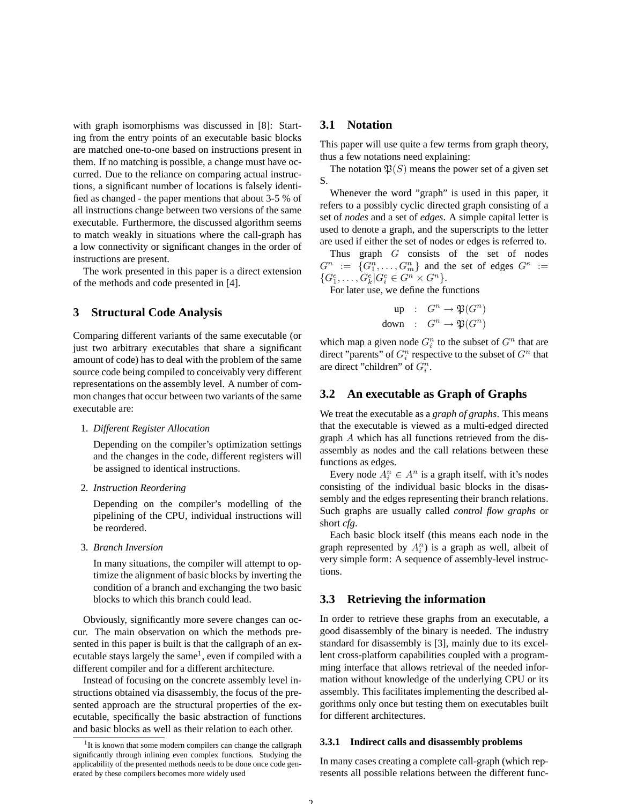with graph isomorphisms was discussed in [8]: Starting from the entry points of an executable basic blocks are matched one-to-one based on instructions present in them. If no matching is possible, a change must have occurred. Due to the reliance on comparing actual instructions, a significant number of locations is falsely identified as changed - the paper mentions that about 3-5 % of all instructions change between two versions of the same executable. Furthermore, the discussed algorithm seems to match weakly in situations where the call-graph has a low connectivity or significant changes in the order of instructions are present.

The work presented in this paper is a direct extension of the methods and code presented in [4].

## **3 Structural Code Analysis**

Comparing different variants of the same executable (or just two arbitrary executables that share a significant amount of code) has to deal with the problem of the same source code being compiled to conceivably very different representations on the assembly level. A number of common changes that occur between two variants of the same executable are:

#### 1. *Different Register Allocation*

Depending on the compiler's optimization settings and the changes in the code, different registers will be assigned to identical instructions.

#### 2. *Instruction Reordering*

Depending on the compiler's modelling of the pipelining of the CPU, individual instructions will be reordered.

3. *Branch Inversion*

In many situations, the compiler will attempt to optimize the alignment of basic blocks by inverting the condition of a branch and exchanging the two basic blocks to which this branch could lead.

Obviously, significantly more severe changes can occur. The main observation on which the methods presented in this paper is built is that the callgraph of an executable stays largely the same<sup>1</sup>, even if compiled with a different compiler and for a different architecture.

Instead of focusing on the concrete assembly level instructions obtained via disassembly, the focus of the presented approach are the structural properties of the executable, specifically the basic abstraction of functions and basic blocks as well as their relation to each other.

## **3.1 Notation**

This paper will use quite a few terms from graph theory, thus a few notations need explaining:

The notation  $\mathfrak{P}(S)$  means the power set of a given set S.

Whenever the word "graph" is used in this paper, it refers to a possibly cyclic directed graph consisting of a set of *nodes* and a set of *edges*. A simple capital letter is used to denote a graph, and the superscripts to the letter are used if either the set of nodes or edges is referred to.

Thus graph G consists of the set of nodes  $G^n := \{G_1^n, \ldots, G_m^n\}$  and the set of edges  $G^e$  :=  $\{G_1^e, \ldots, G_k^e | G_i^e \in G^n \times G^n \}.$ 

For later use, we define the functions

$$
\begin{array}{rcl}\n\text{up} & \colon & G^n \to \mathfrak{P}(G^n) \\
\text{down} & \colon & G^n \to \mathfrak{P}(G^n)\n\end{array}
$$

which map a given node  $G_i^n$  to the subset of  $G^n$  that are direct "parents" of  $G_i^n$  respective to the subset of  $G^n$  that are direct "children" of  $G_i^n$ .

### **3.2 An executable as Graph of Graphs**

We treat the executable as a *graph of graphs*. This means that the executable is viewed as a multi-edged directed graph A which has all functions retrieved from the disassembly as nodes and the call relations between these functions as edges.

Every node  $A_i^n \in A^n$  is a graph itself, with it's nodes consisting of the individual basic blocks in the disassembly and the edges representing their branch relations. Such graphs are usually called *control flow graphs* or short *cfg*.

Each basic block itself (this means each node in the graph represented by  $A_i^n$ ) is a graph as well, albeit of very simple form: A sequence of assembly-level instructions.

### **3.3 Retrieving the information**

In order to retrieve these graphs from an executable, a good disassembly of the binary is needed. The industry standard for disassembly is [3], mainly due to its excellent cross-platform capabilities coupled with a programming interface that allows retrieval of the needed information without knowledge of the underlying CPU or its assembly. This facilitates implementing the described algorithms only once but testing them on executables built for different architectures.

#### **3.3.1 Indirect calls and disassembly problems**

In many cases creating a complete call-graph (which represents all possible relations between the different func-

<sup>&</sup>lt;sup>1</sup>It is known that some modern compilers can change the callgraph significantly through inlining even complex functions. Studying the applicability of the presented methods needs to be done once code generated by these compilers becomes more widely used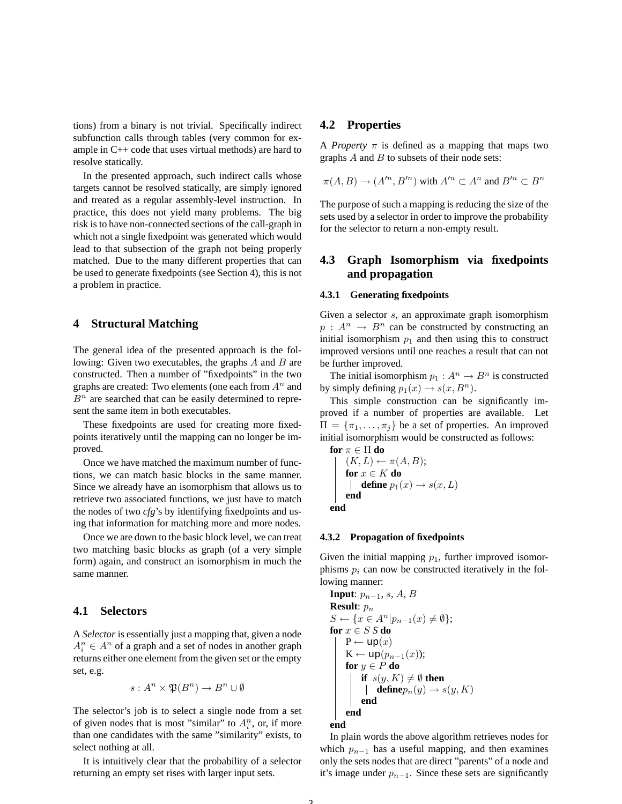tions) from a binary is not trivial. Specifically indirect subfunction calls through tables (very common for example in C++ code that uses virtual methods) are hard to resolve statically.

In the presented approach, such indirect calls whose targets cannot be resolved statically, are simply ignored and treated as a regular assembly-level instruction. In practice, this does not yield many problems. The big risk is to have non-connected sections of the call-graph in which not a single fixedpoint was generated which would lead to that subsection of the graph not being properly matched. Due to the many different properties that can be used to generate fixedpoints (see Section 4), this is not a problem in practice.

## **4 Structural Matching**

The general idea of the presented approach is the following: Given two executables, the graphs  $A$  and  $B$  are constructed. Then a number of "fixedpoints" in the two graphs are created: Two elements (one each from  $A<sup>n</sup>$  and  $B<sup>n</sup>$  are searched that can be easily determined to represent the same item in both executables.

These fixedpoints are used for creating more fixedpoints iteratively until the mapping can no longer be improved.

Once we have matched the maximum number of functions, we can match basic blocks in the same manner. Since we already have an isomorphism that allows us to retrieve two associated functions, we just have to match the nodes of two *cfg*'s by identifying fixedpoints and using that information for matching more and more nodes.

Once we are down to the basic block level, we can treat two matching basic blocks as graph (of a very simple form) again, and construct an isomorphism in much the same manner.

## **4.1 Selectors**

A *Selector* is essentially just a mapping that, given a node  $A_i^n \in A^n$  of a graph and a set of nodes in another graph returns either one element from the given set or the empty set, e.g.

$$
s: A^n \times \mathfrak{P}(B^n) \to B^n \cup \emptyset
$$

The selector's job is to select a single node from a set of given nodes that is most "similar" to  $A_i^n$ , or, if more than one candidates with the same "similarity" exists, to select nothing at all.

It is intuitively clear that the probability of a selector returning an empty set rises with larger input sets.

### **4.2 Properties**

A *Property*  $\pi$  is defined as a mapping that maps two graphs  $A$  and  $B$  to subsets of their node sets:

$$
\pi(A, B) \to (A^{\prime n}, B^{\prime n})
$$
 with  $A^{\prime n} \subset A^n$  and  $B^{\prime n} \subset B^n$ 

The purpose of such a mapping is reducing the size of the sets used by a selector in order to improve the probability for the selector to return a non-empty result.

## **4.3 Graph Isomorphism via fixedpoints and propagation**

#### **4.3.1 Generating fixedpoints**

Given a selector s, an approximate graph isomorphism  $p: A^n \to B^n$  can be constructed by constructing an initial isomorphism  $p_1$  and then using this to construct improved versions until one reaches a result that can not be further improved.

The initial isomorphism  $p_1 : A^n \to B^n$  is constructed by simply defining  $p_1(x) \rightarrow s(x, B^n)$ .

This simple construction can be significantly improved if a number of properties are available. Let  $\Pi = {\pi_1, \ldots, \pi_j}$  be a set of properties. An improved initial isomorphism would be constructed as follows:

$$
\begin{array}{l} \textbf{for} \ \pi \in \Pi \ \textbf{do} \\ \qquad \quad (K, L) \leftarrow \pi(A, B); \\ \textbf{for} \ x \in K \ \textbf{do} \\qquad \quad \textbf{define} \ p_1(x) \rightarrow s(x, L) \\ \textbf{end} \end{array}
$$

**4.3.2 Propagation of fixedpoints**

Given the initial mapping  $p_1$ , further improved isomorphisms  $p_i$  can now be constructed iteratively in the following manner:

```
Input: p_{n-1}, s, A, B
Result: p_nS \leftarrow \{x \in A^n | p_{n-1}(x) \neq \emptyset \};for x \in S S do
    P \leftarrow \text{up}(x)K \leftarrow up(p_{n-1}(x));for y \in P do
         if s(y, K) \neq \emptyset then
          | definep_n(y) \to s(y, K)end
    end
end
```
In plain words the above algorithm retrieves nodes for which  $p_{n-1}$  has a useful mapping, and then examines only the sets nodes that are direct "parents" of a node and it's image under  $p_{n-1}$ . Since these sets are significantly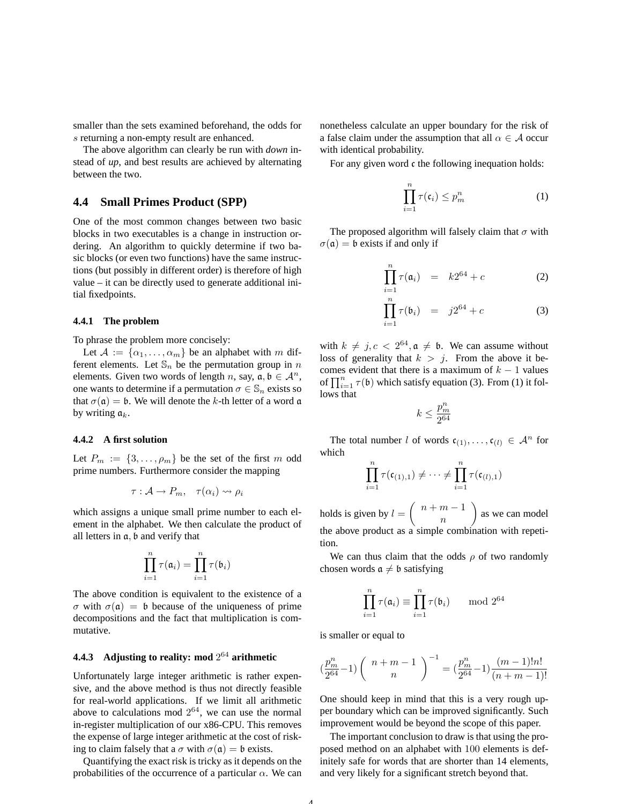smaller than the sets examined beforehand, the odds for s returning a non-empty result are enhanced.

The above algorithm can clearly be run with *down* instead of *up*, and best results are achieved by alternating between the two.

### **4.4 Small Primes Product (SPP)**

One of the most common changes between two basic blocks in two executables is a change in instruction ordering. An algorithm to quickly determine if two basic blocks (or even two functions) have the same instructions (but possibly in different order) is therefore of high value – it can be directly used to generate additional initial fixedpoints.

#### **4.4.1 The problem**

To phrase the problem more concisely:

Let  $A := {\alpha_1, \ldots, \alpha_m}$  be an alphabet with m different elements. Let  $\mathbb{S}_n$  be the permutation group in n elements. Given two words of length n, say,  $a, b \in A^n$ , one wants to determine if a permutation  $\sigma \in \mathbb{S}_n$  exists so that  $\sigma(\mathfrak{a}) = \mathfrak{b}$ . We will denote the k-th letter of a word  $\mathfrak{a}$ by writing  $a_k$ .

#### **4.4.2 A first solution**

Let  $P_m := \{3, \ldots, \rho_m\}$  be the set of the first m odd prime numbers. Furthermore consider the mapping

$$
\tau: \mathcal{A} \to P_m, \quad \tau(\alpha_i) \rightsquigarrow \rho_i
$$

which assigns a unique small prime number to each element in the alphabet. We then calculate the product of all letters in a, b and verify that

$$
\prod_{i=1}^n \tau(\mathfrak{a}_i) = \prod_{i=1}^n \tau(\mathfrak{b}_i)
$$

The above condition is equivalent to the existence of a σ with σ(a) = b because of the uniqueness of prime decompositions and the fact that multiplication is commutative.

### **4.4.3 Adjusting to reality: mod** 2 <sup>64</sup> **arithmetic**

Unfortunately large integer arithmetic is rather expensive, and the above method is thus not directly feasible for real-world applications. If we limit all arithmetic above to calculations mod  $2^{64}$ , we can use the normal in-register multiplication of our x86-CPU. This removes the expense of large integer arithmetic at the cost of risking to claim falsely that a  $\sigma$  with  $\sigma(\mathfrak{a}) = \mathfrak{b}$  exists.

Quantifying the exact risk is tricky as it depends on the probabilities of the occurrence of a particular  $\alpha$ . We can nonetheless calculate an upper boundary for the risk of a false claim under the assumption that all  $\alpha \in A$  occur with identical probability.

For any given word c the following inequation holds:

$$
\prod_{i=1}^{n} \tau(\mathfrak{c}_i) \leq p_m^n \tag{1}
$$

The proposed algorithm will falsely claim that  $\sigma$  with  $\sigma(\mathfrak{a}) = \mathfrak{b}$  exists if and only if

$$
\prod_{i=1}^{n} \tau(\mathfrak{a}_i) = k2^{64} + c \tag{2}
$$

$$
\prod_{i=1}^{n} \tau(\mathfrak{b}_{i}) = j2^{64} + c \tag{3}
$$

with  $k \neq j, c < 2^{64}, \mathfrak{a} \neq \mathfrak{b}$ . We can assume without loss of generality that  $k > j$ . From the above it becomes evident that there is a maximum of  $k - 1$  values of  $\prod_{i=1}^{n} \tau(\mathfrak{b})$  which satisfy equation (3). From (1) it follows that

$$
k\leq \frac{p_m^n}{2^{64}}
$$

The total number l of words  $c_{(1)}, \ldots, c_{(l)} \in \mathcal{A}^n$  for which

$$
\prod_{i=1}^n \tau(\mathfrak{c}_{(1),1}) \neq \cdots \neq \prod_{i=1}^n \tau(\mathfrak{c}_{(l),1})
$$

holds is given by  $l = \begin{pmatrix} n+m-1 \\ n \end{pmatrix}$ n as we can model the above product as a simple combination with repetition.

We can thus claim that the odds  $\rho$  of two randomly chosen words  $a \neq b$  satisfying

$$
\prod_{i=1}^{n} \tau(\mathfrak{a}_i) \equiv \prod_{i=1}^{n} \tau(\mathfrak{b}_i) \quad \mod 2^{64}
$$

is smaller or equal to

$$
\left(\frac{p_m^n}{2^{64}} - 1\right) \left(\begin{array}{c} n+m-1\\n \end{array}\right)^{-1} = \left(\frac{p_m^n}{2^{64}} - 1\right) \frac{(m-1)!n!}{(n+m-1)!}
$$

One should keep in mind that this is a very rough upper boundary which can be improved significantly. Such improvement would be beyond the scope of this paper.

The important conclusion to draw is that using the proposed method on an alphabet with 100 elements is definitely safe for words that are shorter than 14 elements, and very likely for a significant stretch beyond that.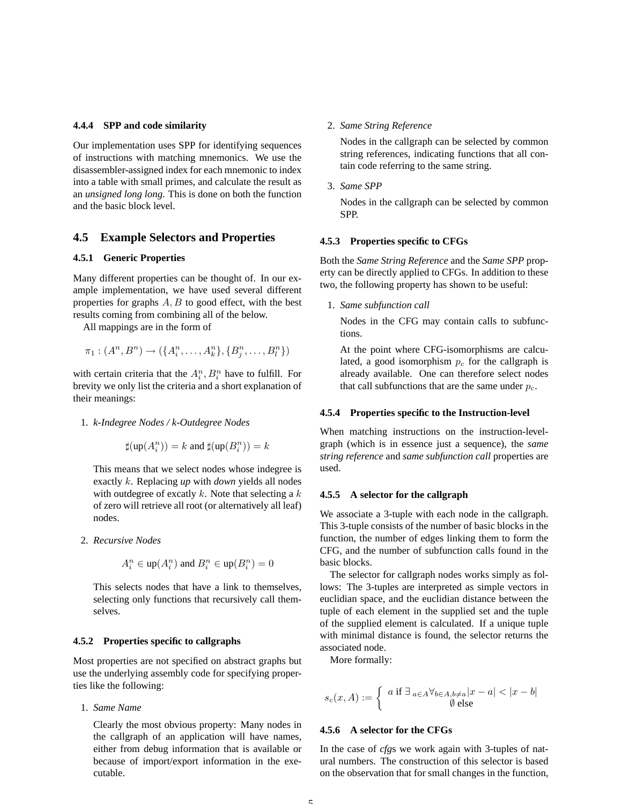#### **4.4.4 SPP and code similarity**

Our implementation uses SPP for identifying sequences of instructions with matching mnemonics. We use the disassembler-assigned index for each mnemonic to index into a table with small primes, and calculate the result as an *unsigned long long*. This is done on both the function and the basic block level.

### **4.5 Example Selectors and Properties**

### **4.5.1 Generic Properties**

Many different properties can be thought of. In our example implementation, we have used several different properties for graphs  $A, B$  to good effect, with the best results coming from combining all of the below.

All mappings are in the form of

$$
\pi_1: (A^n, B^n) \to (\{A^n_i, \ldots, A^n_k\}, \{B^n_j, \ldots, B^n_l\})
$$

with certain criteria that the  $A_i^n, B_i^n$  have to fulfill. For brevity we only list the criteria and a short explanation of their meanings:

#### 1. *k-Indegree Nodes / k-Outdegree Nodes*

$$
\sharp(\mathsf{up}(A_i^n))=k\text{ and }\sharp(\mathsf{up}(B_i^n))=k
$$

This means that we select nodes whose indegree is exactly k. Replacing *up* with *down* yields all nodes with outdegree of excatly  $k$ . Note that selecting a  $k$ of zero will retrieve all root (or alternatively all leaf) nodes.

2. *Recursive Nodes*

$$
A_i^n \in \text{up}(A_i^n) \text{ and } B_i^n \in \text{up}(B_i^n) = 0
$$

This selects nodes that have a link to themselves, selecting only functions that recursively call themselves.

#### **4.5.2 Properties specific to callgraphs**

Most properties are not specified on abstract graphs but use the underlying assembly code for specifying properties like the following:

1. *Same Name*

Clearly the most obvious property: Many nodes in the callgraph of an application will have names, either from debug information that is available or because of import/export information in the executable.

2. *Same String Reference*

Nodes in the callgraph can be selected by common string references, indicating functions that all contain code referring to the same string.

3. *Same SPP*

Nodes in the callgraph can be selected by common SPP.

#### **4.5.3 Properties specific to CFGs**

Both the *Same String Reference* and the *Same SPP* property can be directly applied to CFGs. In addition to these two, the following property has shown to be useful:

1. *Same subfunction call*

Nodes in the CFG may contain calls to subfunctions.

At the point where CFG-isomorphisms are calculated, a good isomorphism  $p_c$  for the callgraph is already available. One can therefore select nodes that call subfunctions that are the same under  $p_c$ .

#### **4.5.4 Properties specific to the Instruction-level**

When matching instructions on the instruction-levelgraph (which is in essence just a sequence), the *same string reference* and *same subfunction call* properties are used.

#### **4.5.5 A selector for the callgraph**

We associate a 3-tuple with each node in the callgraph. This 3-tuple consists of the number of basic blocks in the function, the number of edges linking them to form the CFG, and the number of subfunction calls found in the basic blocks.

The selector for callgraph nodes works simply as follows: The 3-tuples are interpreted as simple vectors in euclidian space, and the euclidian distance between the tuple of each element in the supplied set and the tuple of the supplied element is calculated. If a unique tuple with minimal distance is found, the selector returns the associated node.

More formally:

$$
s_c(x,A):=\left\{\begin{array}{c}a \text{ if } \exists_{a\in A} \forall_{b\in A, b\neq a} |x-a|<|x-b|\\ \emptyset \text{ else}\end{array}\right.
$$

#### **4.5.6 A selector for the CFGs**

In the case of *cfg*s we work again with 3-tuples of natural numbers. The construction of this selector is based on the observation that for small changes in the function,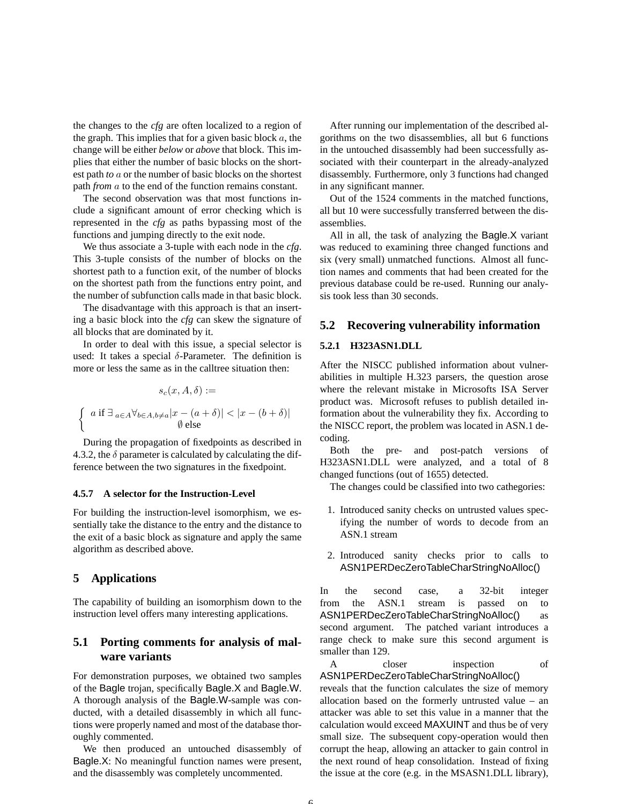the changes to the *cfg* are often localized to a region of the graph. This implies that for a given basic block  $a$ , the change will be either *below* or *above* that block. This implies that either the number of basic blocks on the shortest path *to* a or the number of basic blocks on the shortest path *from* a to the end of the function remains constant.

The second observation was that most functions include a significant amount of error checking which is represented in the *cfg* as paths bypassing most of the functions and jumping directly to the exit node.

We thus associate a 3-tuple with each node in the *cfg*. This 3-tuple consists of the number of blocks on the shortest path to a function exit, of the number of blocks on the shortest path from the functions entry point, and the number of subfunction calls made in that basic block.

The disadvantage with this approach is that an inserting a basic block into the *cfg* can skew the signature of all blocks that are dominated by it.

In order to deal with this issue, a special selector is used: It takes a special  $\delta$ -Parameter. The definition is more or less the same as in the calltree situation then:

$$
s_c(x, A, \delta) :=
$$
  

$$
\left\{ a \text{ if } \exists_{a \in A} \forall_{b \in A, b \neq a} |x - (a + \delta)| < |x - (b + \delta)| \right\}
$$
  

$$
\emptyset \text{ else}
$$

During the propagation of fixedpoints as described in 4.3.2, the  $\delta$  parameter is calculated by calculating the difference between the two signatures in the fixedpoint.

#### **4.5.7 A selector for the Instruction-Level**

For building the instruction-level isomorphism, we essentially take the distance to the entry and the distance to the exit of a basic block as signature and apply the same algorithm as described above.

### **5 Applications**

The capability of building an isomorphism down to the instruction level offers many interesting applications.

# **5.1 Porting comments for analysis of malware variants**

For demonstration purposes, we obtained two samples of the Bagle trojan, specifically Bagle.X and Bagle.W. A thorough analysis of the Bagle.W-sample was conducted, with a detailed disassembly in which all functions were properly named and most of the database thoroughly commented.

We then produced an untouched disassembly of Bagle.X: No meaningful function names were present, and the disassembly was completely uncommented.

After running our implementation of the described algorithms on the two disassemblies, all but 6 functions in the untouched disassembly had been successfully associated with their counterpart in the already-analyzed disassembly. Furthermore, only 3 functions had changed in any significant manner.

Out of the 1524 comments in the matched functions, all but 10 were successfully transferred between the disassemblies.

All in all, the task of analyzing the Bagle.X variant was reduced to examining three changed functions and six (very small) unmatched functions. Almost all function names and comments that had been created for the previous database could be re-used. Running our analysis took less than 30 seconds.

### **5.2 Recovering vulnerability information**

#### **5.2.1 H323ASN1.DLL**

After the NISCC published information about vulnerabilities in multiple H.323 parsers, the question arose where the relevant mistake in Microsofts ISA Server product was. Microsoft refuses to publish detailed information about the vulnerability they fix. According to the NISCC report, the problem was located in ASN.1 decoding.

Both the pre- and post-patch versions of H323ASN1.DLL were analyzed, and a total of 8 changed functions (out of 1655) detected.

The changes could be classified into two cathegories:

- 1. Introduced sanity checks on untrusted values specifying the number of words to decode from an ASN.1 stream
- 2. Introduced sanity checks prior to calls to ASN1PERDecZeroTableCharStringNoAlloc()

In the second case, a 32-bit integer from the ASN.1 stream is passed on to ASN1PERDecZeroTableCharStringNoAlloc() as second argument. The patched variant introduces a range check to make sure this second argument is smaller than 129.

A closer inspection of ASN1PERDecZeroTableCharStringNoAlloc()

reveals that the function calculates the size of memory allocation based on the formerly untrusted value – an attacker was able to set this value in a manner that the calculation would exceed MAXUINT and thus be of very small size. The subsequent copy-operation would then corrupt the heap, allowing an attacker to gain control in the next round of heap consolidation. Instead of fixing the issue at the core (e.g. in the MSASN1.DLL library),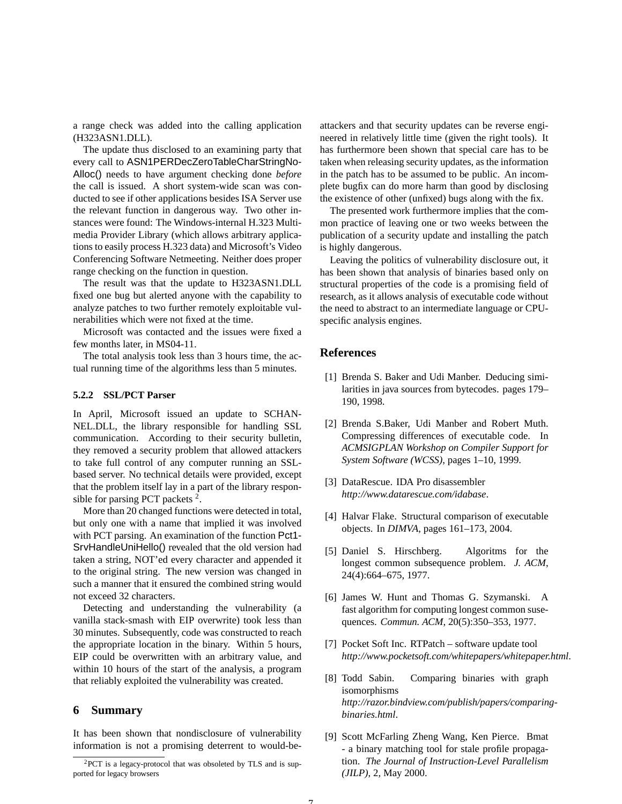a range check was added into the calling application (H323ASN1.DLL).

The update thus disclosed to an examining party that every call to ASN1PERDecZeroTableCharStringNo-Alloc() needs to have argument checking done *before* the call is issued. A short system-wide scan was conducted to see if other applications besides ISA Server use the relevant function in dangerous way. Two other instances were found: The Windows-internal H.323 Multimedia Provider Library (which allows arbitrary applications to easily process H.323 data) and Microsoft's Video Conferencing Software Netmeeting. Neither does proper range checking on the function in question.

The result was that the update to H323ASN1.DLL fixed one bug but alerted anyone with the capability to analyze patches to two further remotely exploitable vulnerabilities which were not fixed at the time.

Microsoft was contacted and the issues were fixed a few months later, in MS04-11.

The total analysis took less than 3 hours time, the actual running time of the algorithms less than 5 minutes.

#### **5.2.2 SSL/PCT Parser**

In April, Microsoft issued an update to SCHAN-NEL.DLL, the library responsible for handling SSL communication. According to their security bulletin, they removed a security problem that allowed attackers to take full control of any computer running an SSLbased server. No technical details were provided, except that the problem itself lay in a part of the library responsible for parsing PCT packets<sup>2</sup>.

More than 20 changed functions were detected in total, but only one with a name that implied it was involved with PCT parsing. An examination of the function Pct1-SrvHandleUniHello() revealed that the old version had taken a string, NOT'ed every character and appended it to the original string. The new version was changed in such a manner that it ensured the combined string would not exceed 32 characters.

Detecting and understanding the vulnerability (a vanilla stack-smash with EIP overwrite) took less than 30 minutes. Subsequently, code was constructed to reach the appropriate location in the binary. Within 5 hours, EIP could be overwritten with an arbitrary value, and within 10 hours of the start of the analysis, a program that reliably exploited the vulnerability was created.

### **6 Summary**

It has been shown that nondisclosure of vulnerability information is not a promising deterrent to would-beattackers and that security updates can be reverse engineered in relatively little time (given the right tools). It has furthermore been shown that special care has to be taken when releasing security updates, as the information in the patch has to be assumed to be public. An incomplete bugfix can do more harm than good by disclosing the existence of other (unfixed) bugs along with the fix.

The presented work furthermore implies that the common practice of leaving one or two weeks between the publication of a security update and installing the patch is highly dangerous.

Leaving the politics of vulnerability disclosure out, it has been shown that analysis of binaries based only on structural properties of the code is a promising field of research, as it allows analysis of executable code without the need to abstract to an intermediate language or CPUspecific analysis engines.

### **References**

- [1] Brenda S. Baker and Udi Manber. Deducing similarities in java sources from bytecodes. pages 179– 190, 1998.
- [2] Brenda S.Baker, Udi Manber and Robert Muth. Compressing differences of executable code. In *ACMSIGPLAN Workshop on Compiler Support for System Software (WCSS)*, pages 1–10, 1999.
- [3] DataRescue. IDA Pro disassembler *http://www.datarescue.com/idabase*.
- [4] Halvar Flake. Structural comparison of executable objects. In *DIMVA*, pages 161–173, 2004.
- [5] Daniel S. Hirschberg. Algoritms for the longest common subsequence problem. *J. ACM*, 24(4):664–675, 1977.
- [6] James W. Hunt and Thomas G. Szymanski. A fast algorithm for computing longest common susequences. *Commun. ACM*, 20(5):350–353, 1977.
- [7] Pocket Soft Inc. RTPatch software update tool *http://www.pocketsoft.com/whitepapers/whitepaper.html*.
- [8] Todd Sabin. Comparing binaries with graph isomorphisms *http://razor.bindview.com/publish/papers/comparingbinaries.html*.
- [9] Scott McFarling Zheng Wang, Ken Pierce. Bmat - a binary matching tool for stale profile propagation. *The Journal of Instruction-Level Parallelism (JILP)*, 2, May 2000.

 ${}^{2}$ PCT is a legacy-protocol that was obsoleted by TLS and is supported for legacy browsers